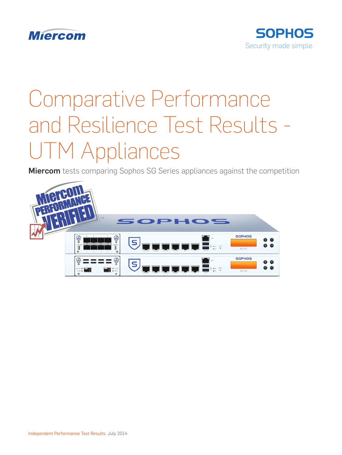



# Comparative Performance and Resilience Test Results - UTM Appliances

**Miercom** tests comparing Sophos SG Series appliances against the competition

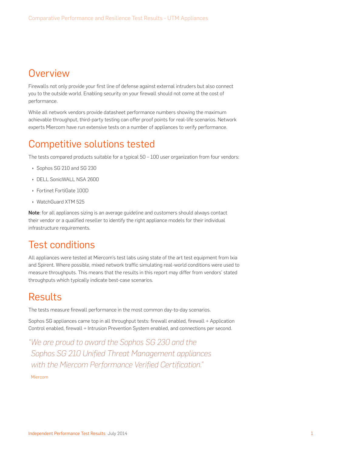## **Overview**

Firewalls not only provide your first line of defense against external intruders but also connect you to the outside world. Enabling security on your firewall should not come at the cost of performance.

While all network vendors provide datasheet performance numbers showing the maximum achievable throughput, third-party testing can offer proof points for real-life scenarios. Network experts Miercom have run extensive tests on a number of appliances to verify performance.

## Competitive solutions tested

The tests compared products suitable for a typical 50 – 100 user organization from four vendors:

- Sophos SG 210 and SG 230
- **DELL SonicWALL NSA 2600**
- **E** Fortinet FortiGate 100D
- ▶ WatchGuard XTM 525

Note: for all appliances sizing is an average guideline and customers should always contact their vendor or a qualified reseller to identify the right appliance models for their individual infrastructure requirements.

## Test conditions

All appliances were tested at Miercom's test labs using state of the art test equipment from Ixia and Spirent. Where possible, mixed network traffic simulating real-world conditions were used to measure throughputs. This means that the results in this report may differ from vendors' stated throughputs which typically indicate best-case scenarios.

## Results

The tests measure firewall performance in the most common day-to-day scenarios.

Sophos SG appliances came top in all throughput tests: firewall enabled, firewall + Application Control enabled, firewall + Intrusion Prevention System enabled, and connections per second.

*"We are proud to award the Sophos SG 230 and the Sophos SG 210 Unified Threat Management appliances with the Miercom Performance Verified Certification."*

Miercom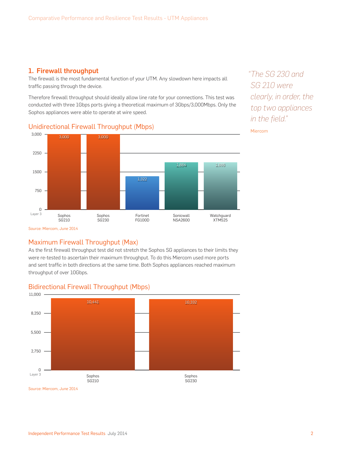#### 1. Firewall throughput

The firewall is the most fundamental function of your UTM. Any slowdown here impacts all traffic passing through the device.

Therefore firewall throughput should ideally allow line rate for your connections. This test was conducted with three 1Gbps ports giving a theoretical maximum of 3Gbps/3,000Mbps. Only the Sophos appliances were able to operate at wire speed.

#### 0 Layer 3 750 1500 2250 3,000 Watchguard XTM525 Sonicwall NSA2600 Fortinet FG100D Sophos SG230 Sophos SG210 3,000 3,000 1,322 1,884 1,886

*"The SG 230 and SG 210 were clearly, in order, the top two appliances in the field."*

Miercom

Source: Miercom, June 2014

#### Maximum Firewall Throughput (Max)

Unidirectional Firewall Throughput (Mbps)

As the first firewall throughput test did not stretch the Sophos SG appliances to their limits they were re-tested to ascertain their maximum throughput. To do this Miercom used more ports and sent traffic in both directions at the same time. Both Sophos appliances reached maximum throughput of over 10Gbps.



#### Bidirectional Firewall Throughput (Mbps)

Source: Miercom, June 2014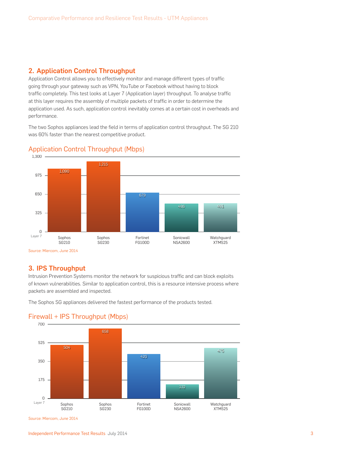#### 2. Application Control Throughput

Application Control allows you to effectively monitor and manage different types of traffic going through your gateway such as VPN, YouTube or Facebook without having to block traffic completely. This test looks at Layer 7 (Application layer) throughput. To analyse traffic at this layer requires the assembly of multiple packets of traffic in order to determine the application used. As such, application control inevitably comes at a certain cost in overheads and performance.

The two Sophos appliances lead the field in terms of application control throughput. The SG 210 was 60% faster than the nearest competitive product.



#### Application Control Throughput (Mbps)

#### 3. IPS Throughput

Intrusion Prevention Systems monitor the network for suspicious traffic and can block exploits of known vulnerabilities. Similar to application control, this is a resource intensive process where packets are assembled and inspected.

The Sophos SG appliances delivered the fastest performance of the products tested.



#### Firewall + IPS Throughput (Mbps)

Source: Miercom, June 2014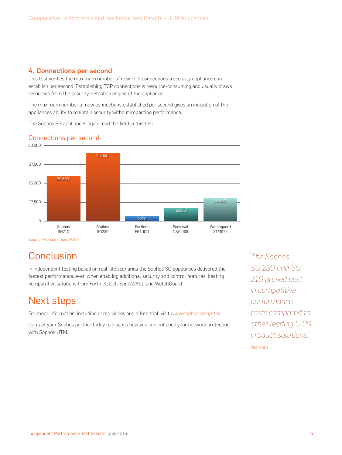#### 4. Connections per second

This test verifies the maximum number of new TCP connections a security appliance can establish per second. Establishing TCP connections is resource-consuming and usually draws resources from the security-detection engine of the appliance.

The maximum number of new connections established per second gives an indication of the appliances ability to maintain security without impacting performance.

The Sophos SG appliances again lead the field in this test.

#### Connections per second



Source: Miercom, June 2014

## **Conclusion**

In independent testing based on real-life scenarios the Sophos SG appliances delivered the fastest performance, even when enabling additional security and control features, beating comparative solutions from Fortinet, Dell SonicWALL and WatchGuard.

## Next steps

For more information, including demo videos and a free trial, visit [www.sophos.com/utm](http://www.sophos.com/utm?cmp=70130000001x8NgAAI).

Contact your Sophos partner today to discuss how you can enhance your network protection with Sophos UTM.

*"The Sophos SG 230 and SG 210 proved best in competitive performance tests compared to other leading UTM product solutions."*

Miercom